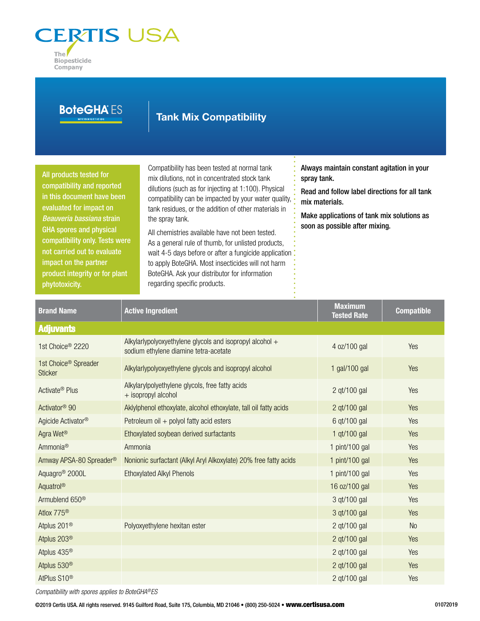

| <b>BoteGHA ES</b>                                                                                                                                                                                                                                                                                                           |         | <b>Tank Mix Compatibility</b>                                                                                                                                                                                                                                                                                                                                                                                                                                                                                                                                                                    |                                                                                                                                                                                                              |                                      |                   |
|-----------------------------------------------------------------------------------------------------------------------------------------------------------------------------------------------------------------------------------------------------------------------------------------------------------------------------|---------|--------------------------------------------------------------------------------------------------------------------------------------------------------------------------------------------------------------------------------------------------------------------------------------------------------------------------------------------------------------------------------------------------------------------------------------------------------------------------------------------------------------------------------------------------------------------------------------------------|--------------------------------------------------------------------------------------------------------------------------------------------------------------------------------------------------------------|--------------------------------------|-------------------|
| All products tested for<br>compatibility and reported<br>in this document have been<br>evaluated for impact on<br>Beauveria bassiana strain<br><b>GHA spores and physical</b><br>compatibility only. Tests were<br>not carried out to evaluate<br>impact on the partner<br>product integrity or for plant<br>phytotoxicity. |         | Compatibility has been tested at normal tank<br>mix dilutions, not in concentrated stock tank<br>dilutions (such as for injecting at 1:100). Physical<br>compatibility can be impacted by your water quality,<br>tank residues, or the addition of other materials in<br>the spray tank.<br>All chemistries available have not been tested.<br>As a general rule of thumb, for unlisted products,<br>wait 4-5 days before or after a fungicide application<br>to apply BoteGHA. Most insecticides will not harm<br>BoteGHA. Ask your distributor for information<br>regarding specific products. | Always maintain constant agitation in your<br>spray tank.<br>Read and follow label directions for all tank<br>mix materials.<br>Make applications of tank mix solutions as<br>soon as possible after mixing. |                                      |                   |
| <b>Brand Name</b>                                                                                                                                                                                                                                                                                                           |         | <b>Active Ingredient</b>                                                                                                                                                                                                                                                                                                                                                                                                                                                                                                                                                                         |                                                                                                                                                                                                              | <b>Maximum</b><br><b>Tested Rate</b> | <b>Compatible</b> |
| <b>Adjuvants</b>                                                                                                                                                                                                                                                                                                            |         |                                                                                                                                                                                                                                                                                                                                                                                                                                                                                                                                                                                                  |                                                                                                                                                                                                              |                                      |                   |
| 1st Choice <sup>®</sup> 2220                                                                                                                                                                                                                                                                                                |         | Alkylarlypolyoxyethylene glycols and isopropyl alcohol +<br>sodium ethylene diamine tetra-acetate                                                                                                                                                                                                                                                                                                                                                                                                                                                                                                |                                                                                                                                                                                                              | 4 oz/100 gal                         | Yes               |
| 1st Choice <sup>®</sup> Spreader<br><b>Sticker</b>                                                                                                                                                                                                                                                                          |         | Alkylarlypolyoxyethylene glycols and isopropyl alcohol                                                                                                                                                                                                                                                                                                                                                                                                                                                                                                                                           |                                                                                                                                                                                                              | 1 gal/100 gal                        | Yes               |
| Activate <sup>®</sup> Plus                                                                                                                                                                                                                                                                                                  |         | Alkylarylpolyethylene glycols, free fatty acids<br>+ isopropyl alcohol                                                                                                                                                                                                                                                                                                                                                                                                                                                                                                                           |                                                                                                                                                                                                              | 2 qt/100 gal                         | Yes               |
| Activator <sup>®</sup> 90                                                                                                                                                                                                                                                                                                   |         | Aklylphenol ethoxylate, alcohol ethoxylate, tall oil fatty acids                                                                                                                                                                                                                                                                                                                                                                                                                                                                                                                                 |                                                                                                                                                                                                              | 2 gt/100 gal                         | Yes               |
| Agicide Activator <sup>®</sup>                                                                                                                                                                                                                                                                                              |         | Petroleum oil + polyol fatty acid esters                                                                                                                                                                                                                                                                                                                                                                                                                                                                                                                                                         |                                                                                                                                                                                                              | 6 qt/100 gal                         | <b>Yes</b>        |
| Agra Wet <sup>®</sup>                                                                                                                                                                                                                                                                                                       |         | Ethoxylated soybean derived surfactants                                                                                                                                                                                                                                                                                                                                                                                                                                                                                                                                                          |                                                                                                                                                                                                              | 1 qt/100 gal                         | Yes               |
| Ammonia <sup>®</sup>                                                                                                                                                                                                                                                                                                        | Ammonia |                                                                                                                                                                                                                                                                                                                                                                                                                                                                                                                                                                                                  |                                                                                                                                                                                                              | 1 pint/100 gal                       | Yes               |
| Amway APSA-80 Spreader®                                                                                                                                                                                                                                                                                                     |         | Nonionic surfactant (Alkyl Aryl Alkoxylate) 20% free fatty acids                                                                                                                                                                                                                                                                                                                                                                                                                                                                                                                                 |                                                                                                                                                                                                              | 1 pint/100 gal                       | Yes               |
| Aquagro <sup>®</sup> 2000L                                                                                                                                                                                                                                                                                                  |         | <b>Ethoxylated Alkyl Phenols</b>                                                                                                                                                                                                                                                                                                                                                                                                                                                                                                                                                                 |                                                                                                                                                                                                              | 1 pint/100 gal                       | Yes               |
| Aquatrol®                                                                                                                                                                                                                                                                                                                   |         |                                                                                                                                                                                                                                                                                                                                                                                                                                                                                                                                                                                                  |                                                                                                                                                                                                              | 16 oz/100 gal                        | Yes               |

Armublend 650<sup>®</sup> 3 qt/100 gal Yes Atlox 775® 3 qt/100 gal Yes Atplus 201<sup>®</sup> Polyoxyethylene hexitan ester 2 qt/100 gal 2 qt/100 gal No Atplus 203® 2 and 2009 2 qt/100 gal Xes (2009) 2 qt/100 gal Xes (2009) 2 qt/100 gal Xes (2009) 2 qt/100 gal Xes Atplus 435® 2 qt/100 gal Yes Atplus 530® 2 qt/100 gal Yes AtPlus S10® 2 qt/100 gal Yes

*Compatibility with spores applies to BoteGHA®ES*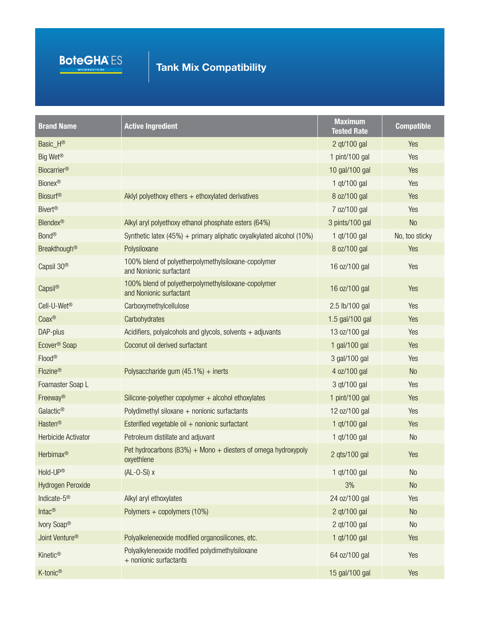

| <b>Brand Name</b>          | <b>Active Ingredient</b>                                                       | <b>Maximum</b><br><b>Tested Rate</b> | <b>Compatible</b> |
|----------------------------|--------------------------------------------------------------------------------|--------------------------------------|-------------------|
| Basic_H®                   |                                                                                | 2 qt/100 gal                         | Yes               |
| Big Wet <sup>®</sup>       |                                                                                | 1 pint/100 gal                       | Yes               |
| <b>Biocarrier®</b>         |                                                                                | 10 gal/100 gal                       | Yes               |
| <b>Bionex®</b>             |                                                                                | 1 qt/100 gal                         | Yes               |
| <b>Biosurf®</b>            | Aklyl polyethoxy ethers $+$ ethoxylated derivatives                            | 8 oz/100 gal                         | Yes               |
| <b>Bivert®</b>             |                                                                                | 7 oz/100 gal                         | Yes               |
| <b>Blendex®</b>            | Alkyl aryl polyethoxy ethanol phosphate esters (64%)                           | 3 pints/100 gal                      | <b>No</b>         |
| Bond®                      | Synthetic latex (45%) + primary aliphatic oxyalkylated alcohol (10%)           | 1 gt/100 gal                         | No, too sticky    |
| <b>Breakthough®</b>        | Polysiloxane                                                                   | 8 oz/100 gal                         | Yes               |
| Capsil 30 <sup>®</sup>     | 100% blend of polyetherpolymethylsiloxane-copolymer<br>and Nonionic surfactant | 16 oz/100 gal                        | Yes               |
| Capsil®                    | 100% blend of polyetherpolymethylsiloxane-copolymer<br>and Nonionic surfactant | 16 oz/100 gal                        | Yes               |
| Cell-U-Wet <sup>®</sup>    | Carboxymethylcellulose                                                         | 2.5 lb/100 gal                       | Yes               |
| Coax®                      | Carbohydrates                                                                  | 1.5 gal/100 gal                      | Yes               |
| DAP-plus                   | Acidifiers, polyalcohols and glycols, solvents $+$ adjuvants                   | 13 oz/100 gal                        | Yes               |
| Ecover <sup>®</sup> Soap   | Coconut oil derived surfactant                                                 | 1 gal/100 gal                        | Yes               |
| Flood®                     |                                                                                | 3 gal/100 gal                        | Yes               |
| Flozine®                   | Polysaccharide gum $(45.1\%)$ + inerts                                         | 4 oz/100 gal                         | <b>No</b>         |
| Foamaster Soap L           |                                                                                | 3 qt/100 gal                         | Yes               |
| Freeway®                   | Silicone-polyether copolymer + alcohol ethoxylates                             | 1 pint/100 gal                       | Yes               |
| Galactic®                  | Polydimethyl siloxane $+$ nonionic surfactants                                 | 12 oz/100 gal                        | Yes               |
| Hasten®                    | Esterified vegetable oil + nonionic surfactant                                 | 1 qt/100 gal                         | Yes               |
| <b>Herbicide Activator</b> | Petroleum distillate and adjuvant                                              | 1 gt/100 gal                         | <b>No</b>         |
| Herbimax®                  | Pet hydrocarbons (83%) + Mono + diesters of omega hydroxypoly<br>oxyethlene    | 2 qts/100 gal                        | Yes               |
| Hold-UP®                   | $(AL-O-Si)$ x                                                                  | 1 qt/100 gal                         | <b>No</b>         |
| Hydrogen Peroxide          |                                                                                | 3%                                   | No                |
| Indicate-5 <sup>®</sup>    | Alkyl aryl ethoxylates                                                         | 24 oz/100 gal                        | Yes               |
| Intac <sup>®</sup>         | Polymers + copolymers (10%)                                                    | 2 qt/100 gal                         | No                |
| Ivory Soap®                |                                                                                | 2 qt/100 gal                         | N <sub>o</sub>    |
| Joint Venture <sup>®</sup> | Polyalkeleneoxide modified organosilicones, etc.                               | 1 qt/100 gal                         | Yes               |
| Kinetic <sup>®</sup>       | Polyalkyleneoxide modified polydimethylsiloxane<br>+ nonionic surfactants      | 64 oz/100 gal                        | Yes               |
| K-tonic <sup>®</sup>       |                                                                                | 15 gal/100 gal                       | Yes               |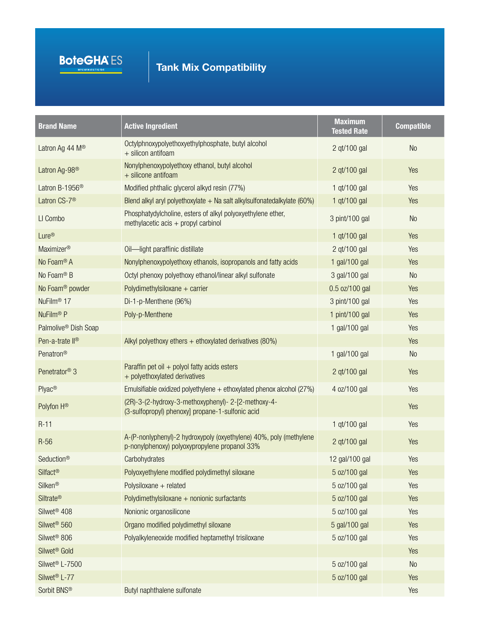

| <b>Brand Name</b>                | <b>Active Ingredient</b>                                                                                            | <b>Maximum</b><br><b>Tested Rate</b> | <b>Compatible</b> |
|----------------------------------|---------------------------------------------------------------------------------------------------------------------|--------------------------------------|-------------------|
| Latron Ag 44 M <sup>®</sup>      | Octylphnoxypolyethoxyethylphosphate, butyl alcohol<br>+ silicon antifoam                                            | 2 qt/100 gal                         | <b>No</b>         |
| Latron Ag-98 <sup>®</sup>        | Nonylphenoxypolyethoxy ethanol, butyl alcohol<br>+ silicone antifoam                                                | 2 qt/100 gal                         | Yes               |
| Latron B-1956 <sup>®</sup>       | Modified phthalic glycerol alkyd resin (77%)                                                                        | 1 gt/100 gal                         | Yes               |
| Latron CS-7 <sup>®</sup>         | Blend alkyl aryl polyethoxylate $+$ Na salt alkylsulfonatedalkylate (60%)                                           | 1 qt/100 gal                         | Yes               |
| LI Combo                         | Phosphatydylcholine, esters of alkyl polyoxyethylene ether,<br>methylacetic $acis + propyl$ carbinol                | 3 pint/100 gal                       | N <sub>0</sub>    |
| Lure <sup>®</sup>                |                                                                                                                     | 1 qt/100 gal                         | Yes               |
| Maximizer®                       | Oil-light paraffinic distillate                                                                                     | 2 qt/100 gal                         | Yes               |
| No Foam® A                       | Nonylphenoxypolyethoxy ethanols, isopropanols and fatty acids                                                       | 1 gal/100 gal                        | Yes               |
| No Foam® B                       | Octyl phenoxy polyethoxy ethanol/linear alkyl sulfonate                                                             | 3 gal/100 gal                        | <b>No</b>         |
| No Foam <sup>®</sup> powder      | Polydimethylsiloxane $+$ carrier                                                                                    | 0.5 oz/100 gal                       | Yes               |
| NuFilm <sup>®</sup> 17           | Di-1-p-Menthene (96%)                                                                                               | 3 pint/100 gal                       | Yes               |
| NuFilm <sup>®</sup> P            | Poly-p-Menthene                                                                                                     | 1 pint/100 gal                       | Yes               |
| Palmolive <sup>®</sup> Dish Soap |                                                                                                                     | 1 gal/100 gal                        | Yes               |
| Pen-a-trate II <sup>®</sup>      | Alkyl polyethoxy ethers $+$ ethoxylated derivatives (80%)                                                           |                                      | Yes               |
| Penatron®                        |                                                                                                                     | 1 gal/100 gal                        | <b>No</b>         |
| Penetrator <sup>®</sup> 3        | Paraffin pet oil $+$ polyol fatty acids esters<br>+ polyethoxylated derivatives                                     | 2 qt/100 gal                         | Yes               |
| Plyac <sup>®</sup>               | Emulsifiable oxidized polyethylene $+$ ethoxylated phenox alcohol (27%)                                             | 4 oz/100 gal                         | Yes               |
| Polyfon H®                       | (2R)-3-(2-hydroxy-3-methoxyphenyl)- 2-[2-methoxy-4-<br>(3-sulfopropyl) phenoxy] propane-1-sulfonic acid             |                                      | Yes               |
| $R-11$                           |                                                                                                                     | 1 qt/100 gal                         | Yes               |
| $R-56$                           | A-(P-nonlyphenyl)-2 hydroxypoly (oxyethylene) 40%, poly (methylene<br>p-nonylphenoxy) polyoxypropylene propanol 33% | 2 qt/100 gal                         | Yes               |
| Seduction®                       | Carbohydrates                                                                                                       | 12 gal/100 gal                       | Yes               |
| Silfact <sup>®</sup>             | Polyoxyethylene modified polydimethyl siloxane                                                                      | 5 oz/100 gal                         | Yes               |
| Silken®                          | Polysiloxane + related                                                                                              | 5 oz/100 gal                         | Yes               |
| <b>Siltrate®</b>                 | Polydimethylsiloxane + nonionic surfactants                                                                         | 5 oz/100 gal                         | Yes               |
| Silwet <sup>®</sup> 408          | Nonionic organosilicone                                                                                             | 5 oz/100 gal                         | Yes               |
| Silwet <sup>®</sup> 560          | Organo modified polydimethyl siloxane                                                                               | 5 gal/100 gal                        | Yes               |
| Silwet <sup>®</sup> 806          | Polyalkyleneoxide modified heptamethyl trisiloxane                                                                  | 5 oz/100 gal                         | Yes               |
| Silwet <sup>®</sup> Gold         |                                                                                                                     |                                      | Yes               |
| Silwet <sup>®</sup> L-7500       |                                                                                                                     | 5 oz/100 gal                         | No                |
| Silwet <sup>®</sup> L-77         |                                                                                                                     | 5 oz/100 gal                         | Yes               |
| Sorbit BNS®                      | Butyl naphthalene sulfonate                                                                                         |                                      | Yes               |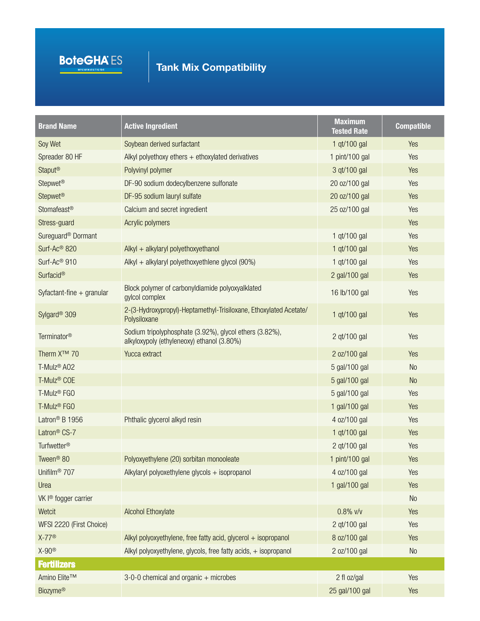

| <b>Brand Name</b>                | <b>Active Ingredient</b>                                                                              | <b>Maximum</b><br><b>Tested Rate</b> | <b>Compatible</b> |
|----------------------------------|-------------------------------------------------------------------------------------------------------|--------------------------------------|-------------------|
| Soy Wet                          | Soybean derived surfactant                                                                            | 1 qt/100 gal                         | Yes               |
| Spreader 80 HF                   | Alkyl polyethoxy ethers + ethoxylated derivatives                                                     | 1 pint/100 gal                       | Yes               |
| Staput <sup>®</sup>              | Polyvinyl polymer                                                                                     | 3 qt/100 gal                         | Yes               |
| Stepwet <sup>®</sup>             | DF-90 sodium dodecylbenzene sulfonate                                                                 | 20 oz/100 gal                        | Yes               |
| Stepwet <sup>®</sup>             | DF-95 sodium lauryl sulfate                                                                           | 20 oz/100 gal                        | Yes               |
| Stomafeast®                      | Calcium and secret ingredient                                                                         | 25 oz/100 gal                        | Yes               |
| Stress-guard                     | Acrylic polymers                                                                                      |                                      | Yes               |
| Sureguard <sup>®</sup> Dormant   |                                                                                                       | 1 qt/100 gal                         | Yes               |
| Surf-Ac <sup>®</sup> 820         | Alkyl + alkylaryl polyethoxyethanol                                                                   | 1 qt/100 gal                         | Yes               |
| Surf-Ac <sup>®</sup> 910         | Alkyl + alkylaryl polyethoxyethlene glycol $(90\%)$                                                   | 1 qt/100 gal                         | Yes               |
| Surfacid®                        |                                                                                                       | 2 gal/100 gal                        | Yes               |
| Syfactant-fine + granular        | Block polymer of carbonyldiamide polyoxyalklated<br>gylcol complex                                    | 16 lb/100 gal                        | Yes               |
| Sylgard <sup>®</sup> 309         | 2-(3-Hydroxypropyl)-Heptamethyl-Trisiloxane, Ethoxylated Acetate/<br>Polysiloxane                     | 1 qt/100 gal                         | Yes               |
| Terminator <sup>®</sup>          | Sodium tripolyphosphate (3.92%), glycol ethers (3.82%),<br>alkyloxypoly (ethyleneoxy) ethanol (3.80%) | 2 qt/100 gal                         | Yes               |
| Therm X <sup>™</sup> 70          | Yucca extract                                                                                         | 2 oz/100 gal                         | Yes               |
| T-Mulz <sup>®</sup> A02          |                                                                                                       | 5 gal/100 gal                        | <b>No</b>         |
| T-Mulz <sup>®</sup> COE          |                                                                                                       | 5 gal/100 gal                        | <b>No</b>         |
| T-Mulz <sup>®</sup> FGO          |                                                                                                       | 5 gal/100 gal                        | Yes               |
| T-Mulz <sup>®</sup> FGO          |                                                                                                       | 1 gal/100 gal                        | Yes               |
| Latron <sup>®</sup> B 1956       | Phthalic glycerol alkyd resin                                                                         | 4 oz/100 gal                         | Yes               |
| Latron <sup>®</sup> CS-7         |                                                                                                       | 1 qt/100 gal                         | Yes               |
| Turfwetter <sup>®</sup>          |                                                                                                       | 2 qt/100 gal                         | Yes               |
| Tween <sup>®</sup> 80            | Polyoxyethylene (20) sorbitan monooleate                                                              | 1 pint/100 gal                       | Yes               |
| Unifilm <sup>®</sup> 707         | Alkylaryl polyoxethylene glycols + isopropanol                                                        | 4 oz/100 gal                         | Yes               |
| Urea                             |                                                                                                       | 1 gal/100 gal                        | Yes               |
| VK I <sup>®</sup> fogger carrier |                                                                                                       |                                      | No                |
| Wetcit                           | <b>Alcohol Ethoxylate</b>                                                                             | $0.8\%$ v/v                          | Yes               |
| WFSI 2220 (First Choice)         |                                                                                                       | 2 qt/100 gal                         | Yes               |
| $X-77^\circledR$                 | Alkyl polyoxyethylene, free fatty acid, glycerol $+$ isopropanol                                      | 8 oz/100 gal                         | Yes               |
| $X-90^\circledR$                 | Alkyl polyoxyethylene, glycols, free fatty acids, + isopropanol                                       | 2 oz/100 gal                         | No                |
| <b>Fertilizers</b>               |                                                                                                       |                                      |                   |
| Amino Elite™                     | 3-0-0 chemical and organic + microbes                                                                 | 2 fl oz/gal                          | Yes               |
| <b>Biozyme®</b>                  |                                                                                                       | 25 gal/100 gal                       | Yes               |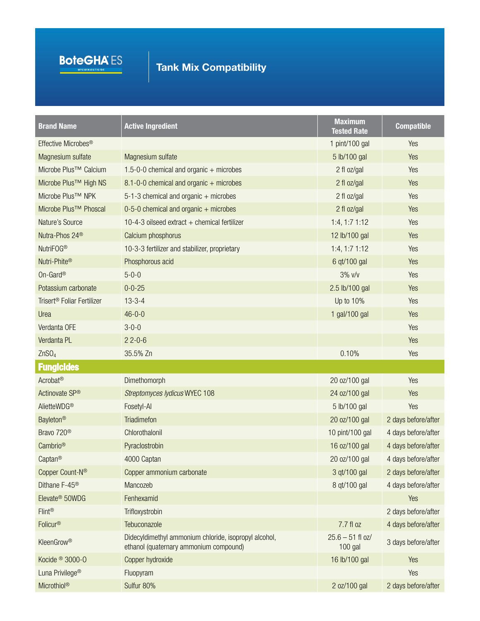

| <b>Brand Name</b>                      | <b>Active Ingredient</b>                                                                        | <b>Maximum</b><br><b>Tested Rate</b> | <b>Compatible</b>   |
|----------------------------------------|-------------------------------------------------------------------------------------------------|--------------------------------------|---------------------|
| Effective Microbes <sup>®</sup>        |                                                                                                 | 1 pint/100 gal                       | Yes                 |
| Magnesium sulfate                      | Magnesium sulfate                                                                               | 5 lb/100 gal                         | Yes                 |
| Microbe Plus <sup>™</sup> Calcium      | 1.5-0-0 chemical and organic $+$ microbes                                                       | 2 fl oz/gal                          | Yes                 |
| Microbe Plus <sup>™</sup> High NS      | 8.1-0-0 chemical and organic + microbes                                                         | 2 fl oz/gal                          | Yes                 |
| Microbe Plus <sup>™</sup> NPK          | $5-1-3$ chemical and organic + microbes                                                         | 2 fl oz/gal                          | Yes                 |
| Microbe Plus <sup>™</sup> Phoscal      | $0-5-0$ chemical and organic + microbes                                                         | 2 fl oz/gal                          | Yes                 |
| Nature's Source                        | 10-4-3 oilseed extract $+$ chemical fertilizer                                                  | $1:4, 1:7$ 1:12                      | Yes                 |
| Nutra-Phos 24 <sup>®</sup>             | Calcium phosphorus                                                                              | 12 lb/100 gal                        | Yes                 |
| NutriFOG <sup>®</sup>                  | 10-3-3 fertilizer and stabilizer, proprietary                                                   | $1:4, 1:7$ 1:12                      | Yes                 |
| Nutri-Phite®                           | Phosphorous acid                                                                                | 6 qt/100 gal                         | Yes                 |
| On-Gard <sup>®</sup>                   | $5 - 0 - 0$                                                                                     | 3% v/v                               | Yes                 |
| Potassium carbonate                    | $0 - 0 - 25$                                                                                    | 2.5 lb/100 gal                       | Yes                 |
| Trisert <sup>®</sup> Foliar Fertilizer | $13 - 3 - 4$                                                                                    | Up to 10%                            | Yes                 |
| Urea                                   | $46 - 0 - 0$                                                                                    | 1 gal/100 gal                        | Yes                 |
| Verdanta OFE                           | $3 - 0 - 0$                                                                                     |                                      | Yes                 |
| Verdanta PL                            | $22 - 0 - 6$                                                                                    |                                      | Yes                 |
| ZnSO <sub>4</sub>                      | 35.5% Zn                                                                                        | 0.10%                                | Yes                 |
| <b>Fungicides</b>                      |                                                                                                 |                                      |                     |
| Acrobat <sup>®</sup>                   | Dimethomorph                                                                                    | 20 oz/100 gal                        | Yes                 |
| Actinovate SP®                         | Streptomyces lydicus WYEC 108                                                                   | 24 oz/100 gal                        | Yes                 |
| AlietteWDG®                            | Fosetyl-Al                                                                                      | 5 lb/100 gal                         | Yes                 |
| <b>Bayleton®</b>                       | <b>Triadimefon</b>                                                                              | 20 oz/100 gal                        | 2 days before/after |
| Bravo 720 <sup>®</sup>                 | Chlorothalonil                                                                                  | 10 pint/100 gal                      | 4 days before/after |
| Cambrio <sup>®</sup>                   | Pyraclostrobin                                                                                  | 16 oz/100 gal                        | 4 days before/after |
| Captan <sup>®</sup>                    | 4000 Captan                                                                                     | 20 oz/100 gal                        | 4 days before/after |
| Copper Count-N <sup>®</sup>            | Copper ammonium carbonate                                                                       | 3 qt/100 gal                         | 2 days before/after |
| Dithane F-45 <sup>®</sup>              | Mancozeb                                                                                        | 8 qt/100 gal                         | 4 days before/after |
| Elevate <sup>®</sup> 50WDG             | Fenhexamid                                                                                      |                                      | Yes                 |
| <b>Flint®</b>                          | Trifloxystrobin                                                                                 |                                      | 2 days before/after |
| Folicur <sup>®</sup>                   | Tebuconazole                                                                                    | 7.7 fl oz                            | 4 days before/after |
| <b>KleenGrow®</b>                      | Didecyldimethyl ammonium chloride, isopropyl alcohol,<br>ethanol (quaternary ammonium compound) | $25.6 - 51$ fl oz/<br>100 gal        | 3 days before/after |
| Kocide <sup>®</sup> 3000-0             | Copper hydroxide                                                                                | 16 lb/100 gal                        | Yes                 |
| Luna Privilege <sup>®</sup>            | Fluopyram                                                                                       |                                      | Yes                 |
| Microthiol®                            | Sulfur 80%                                                                                      | 2 oz/100 gal                         | 2 days before/after |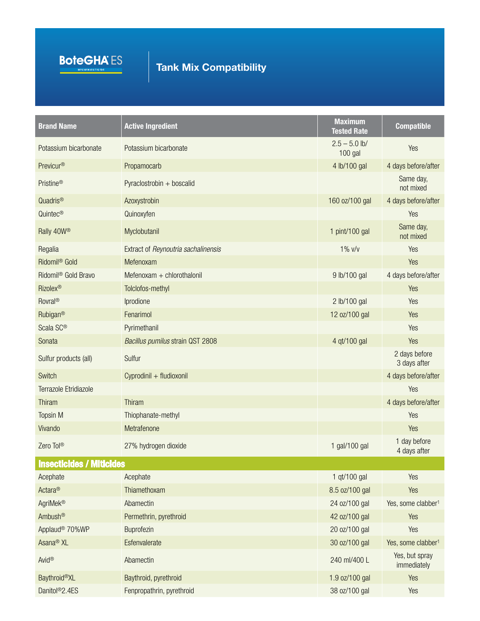

| <b>Brand Name</b>               | <b>Active Ingredient</b>                | <b>Maximum</b><br><b>Tested Rate</b> | <b>Compatible</b>              |
|---------------------------------|-----------------------------------------|--------------------------------------|--------------------------------|
| Potassium bicarbonate           | Potassium bicarbonate                   | $2.5 - 5.0$ lb/<br>100 gal           | Yes                            |
| Previcur <sup>®</sup>           | Propamocarb                             | 4 lb/100 gal                         | 4 days before/after            |
| Pristine <sup>®</sup>           | Pyraclostrobin + boscalid               |                                      | Same day,<br>not mixed         |
| Quadris®                        | Azoxystrobin                            | 160 oz/100 gal                       | 4 days before/after            |
| Quintec <sup>®</sup>            | Quinoxyfen                              |                                      | Yes                            |
| Rally 40W®                      | Myclobutanil                            | 1 pint/100 gal                       | Same day,<br>not mixed         |
| Regalia                         | Extract of Reynoutria sachalinensis     | $1\%$ $V/v$                          | Yes                            |
| Ridomil <sup>®</sup> Gold       | Mefenoxam                               |                                      | Yes                            |
| Ridomil <sup>®</sup> Gold Bravo | Mefenoxam + chlorothalonil              | 9 lb/100 gal                         | 4 days before/after            |
| <b>Rizolex®</b>                 | Tolclofos-methyl                        |                                      | Yes                            |
| <b>Rovral®</b>                  | Iprodione                               | 2 lb/100 gal                         | Yes                            |
| Rubigan®                        | Fenarimol                               | 12 oz/100 gal                        | Yes                            |
| Scala SC®                       | Pyrimethanil                            |                                      | Yes                            |
| Sonata                          | <b>Bacillus pumilus strain QST 2808</b> | 4 qt/100 gal                         | Yes                            |
| Sulfur products (all)           | Sulfur                                  |                                      | 2 days before<br>3 days after  |
| Switch                          | Cyprodinil + fludioxonil                |                                      | 4 days before/after            |
| Terrazole Etridiazole           |                                         |                                      | Yes                            |
| Thiram                          | Thiram                                  |                                      | 4 days before/after            |
| Topsin M                        | Thiophanate-methyl                      |                                      | Yes                            |
| Vivando                         | Metrafenone                             |                                      | Yes                            |
| Zero Tol <sup>®</sup>           | 27% hydrogen dioxide                    | 1 gal/100 gal                        | 1 day before<br>4 days after   |
| <b>Insecticides / Miticides</b> |                                         |                                      |                                |
| Acephate                        | Acephate                                | 1 qt/100 gal                         | Yes                            |
| Actara®                         | Thiamethoxam                            | 8.5 oz/100 gal                       | Yes                            |
| AgriMek®                        | Abamectin                               | 24 oz/100 gal                        | Yes, some clabber <sup>1</sup> |
| Ambush®                         | Permethrin, pyrethroid                  | 42 oz/100 gal                        | Yes                            |
| Applaud <sup>®</sup> 70%WP      | Buprofezin                              | 20 oz/100 gal                        | Yes                            |
| Asana <sup>®</sup> XL           | Esfenvalerate                           | 30 oz/100 gal                        | Yes, some clabber <sup>1</sup> |
| Avid®                           | Abamectin                               | 240 ml/400 L                         | Yes, but spray<br>immediately  |
| <b>Baythroid®XL</b>             | Baythroid, pyrethroid                   | 1.9 oz/100 gal                       | Yes                            |
| Danitol <sup>®</sup> 2.4ES      | Fenpropathrin, pyrethroid               | 38 oz/100 gal                        | Yes                            |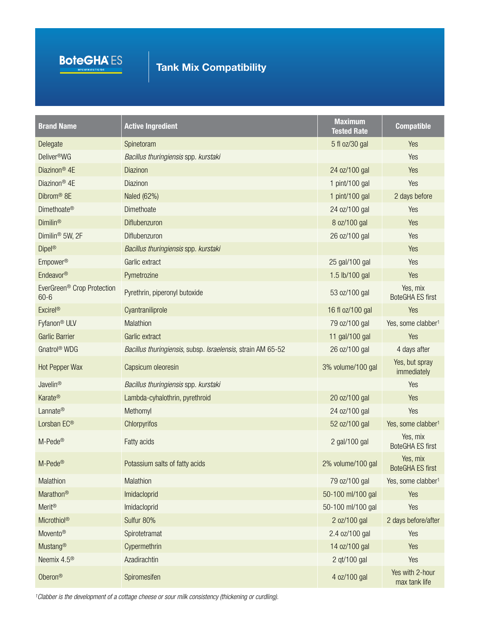

| <b>Brand Name</b>                                  | <b>Active Ingredient</b>                                    | <b>Maximum</b><br><b>Tested Rate</b> | <b>Compatible</b>                   |
|----------------------------------------------------|-------------------------------------------------------------|--------------------------------------|-------------------------------------|
| Delegate                                           | Spinetoram                                                  | 5 fl oz/30 gal                       | Yes                                 |
| Deliver <sup>®</sup> WG                            | Bacillus thuringiensis spp. kurstaki                        |                                      | Yes                                 |
| Diazinon <sup>®</sup> 4E                           | Diazinon                                                    | 24 oz/100 gal                        | Yes                                 |
| Diazinon <sup>®</sup> 4E                           | Diazinon                                                    | 1 pint/100 gal                       | Yes                                 |
| Dibrom <sup>®</sup> 8E                             | Naled (62%)                                                 | 1 pint/100 gal                       | 2 days before                       |
| Dimethoate <sup>®</sup>                            | Dimethoate                                                  | 24 oz/100 gal                        | Yes                                 |
| <b>Dimilin®</b>                                    | Diflubenzuron                                               | 8 oz/100 gal                         | Yes                                 |
| Dimilin <sup>®</sup> 5W, 2F                        | Diflubenzuron                                               | 26 oz/100 gal                        | Yes                                 |
| Dipel <sup>®</sup>                                 | Bacillus thuringiensis spp. kurstaki                        |                                      | Yes                                 |
| Empower <sup>®</sup>                               | Garlic extract                                              | 25 gal/100 gal                       | Yes                                 |
| Endeavor®                                          | Pymetrozine                                                 | 1.5 lb/100 gal                       | Yes                                 |
| EverGreen <sup>®</sup> Crop Protection<br>$60 - 6$ | Pyrethrin, piperonyl butoxide                               | 53 oz/100 gal                        | Yes, mix<br><b>BoteGHA ES first</b> |
| <b>Excirel®</b>                                    | Cyantraniliprole                                            | 16 fl oz/100 gal                     | Yes                                 |
| Fyfanon <sup>®</sup> ULV                           | Malathion                                                   | 79 oz/100 gal                        | Yes, some clabber <sup>1</sup>      |
| <b>Garlic Barrier</b>                              | Garlic extract                                              | 11 gal/100 gal                       | Yes                                 |
| Gnatrol <sup>®</sup> WDG                           | Bacillus thuringiensis, subsp. Israelensis, strain AM 65-52 | 26 oz/100 gal                        | 4 days after                        |
| Hot Pepper Wax                                     | Capsicum oleoresin                                          | 3% volume/100 gal                    | Yes, but spray<br>immediately       |
| Javelin®                                           | Bacillus thuringiensis spp. kurstaki                        |                                      | Yes                                 |
| Karate®                                            | Lambda-cyhalothrin, pyrethroid                              | 20 oz/100 gal                        | Yes                                 |
| Lannate®                                           | Methomyl                                                    | 24 oz/100 gal                        | Yes                                 |
| Lorsban EC®                                        | Chlorpyrifos                                                | 52 oz/100 gal                        | Yes, some clabber <sup>1</sup>      |
| M-Pede®                                            | Fatty acids                                                 | 2 gal/100 gal                        | Yes, mix<br><b>BoteGHA ES first</b> |
| M-Pede®                                            | Potassium salts of fatty acids                              | 2% volume/100 gal                    | Yes, mix<br><b>BoteGHA ES first</b> |
| Malathion                                          | Malathion                                                   | 79 oz/100 gal                        | Yes, some clabber <sup>1</sup>      |
| Marathon®                                          | Imidacloprid                                                | 50-100 ml/100 gal                    | Yes                                 |
| <b>Merit®</b>                                      | Imidacloprid                                                | 50-100 ml/100 gal                    | Yes                                 |
| Microthiol®                                        | Sulfur 80%                                                  | 2 oz/100 gal                         | 2 days before/after                 |
| Movento <sup>®</sup>                               | Spirotetramat                                               | 2.4 oz/100 gal                       | Yes                                 |
| Mustang®                                           | Cypermethrin                                                | 14 oz/100 gal                        | Yes                                 |
| Neemix 4.5 <sup>®</sup>                            | Azadirachtin                                                | 2 qt/100 gal                         | Yes                                 |
| Oberon®                                            | Spiromesifen                                                | 4 oz/100 gal                         | Yes with 2-hour<br>max tank life    |

*1Clabber is the development of a cottage cheese or sour milk consistency (thickening or curdling).*